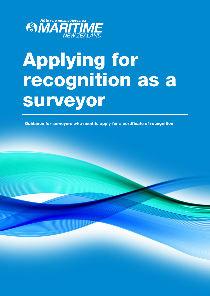

# Applying for recognition as a **SUIWEYOIT**<br>Guidance for surveyors who need to apply for a certificate of recognition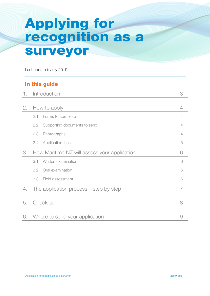# Applying for recognition as a surveyor

Last updated: July 2019

#### In this guide

| 1. | Introduction                                 | 3 |
|----|----------------------------------------------|---|
| 2. | How to apply                                 | 4 |
|    | 2.1<br>Forms to complete                     | 4 |
|    | Supporting documents to send<br>2.2          | 4 |
|    | 2.3<br>Photographs                           | 4 |
|    | <b>Application fees</b><br>2.4               | 5 |
| 3. | How Maritime NZ will assess your application | 6 |
|    | Written examination<br>3.1                   | 6 |
|    | Oral examination<br>3.2                      | 6 |
|    | Field assessment<br>3.3                      | 6 |
| 4. | The application process $-$ step by step     | 7 |
| 5. | Checklist                                    | 8 |
| 6. | Where to send your application               | 9 |

#### Application for recognition as a surveyor **Page 2 of 9** Application for recognition as a surveyor **Page 2 of 9**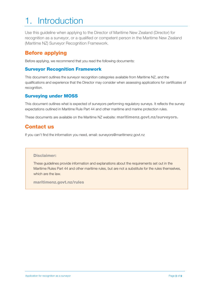# 1. Introduction

Use this guideline when applying to the Director of Maritime New Zealand (Director) for recognition as a surveyor, or a qualified or competent person in the Maritime New Zealand (Maritime NZ) Surveyor Recognition Framework.

#### Before applying

Before applying, we recommend that you read the following documents:

#### Surveyor Recognition Framework

This document outlines the surveyor recognition categories available from Maritime NZ, and the qualifications and experience that the Director may consider when assessing applications for certificates of recognition.

#### Surveying under MOSS

This document outlines what is expected of surveyors performing regulatory surveys. It reflects the survey expectations outlined in Maritime [Rule Part 44](http://www.maritimenz.govt.nz/Rules/List-of-all-rules/Part44-maritime-rule.asp) and other maritime and marine protection rules.

These documents are available on the Maritime NZ website: [maritimenz.govt.nz/surveyors.](http://www.maritime.govt.nz/surveyors)

#### Contact us

If you can't find the information you need, email[: surveyors@maritimenz.govt.nz](mailto:surveyors@maritimenz.govt.nz)

#### Disclaimer:

These guidelines provide information and explanations about the requirements set out in the Maritime Rules Part 44 and other maritime rules, but are not a substitute for the rules themselves, which are the law.

maritimenz.govt.nz/rules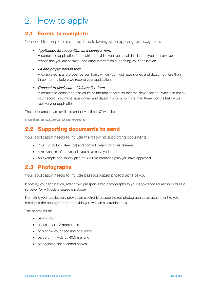# 2. How to apply

#### 2.1 Forms to complete

You need to complete and submit the following when applying for recognition:

#### • Application for recognition as a surveyor form

A completed application form, which provides your personal details, the types of surveyor recognition you are seeking, and other information supporting your application.

#### • Fit and proper person form

A completed fit and proper person form, which you must have signed and dated no more than three months before we receive your application.

#### • Consent to disclosure of information form

A completed consent to disclosure of information form so that the New Zealand Police can check your record. You must have signed and dated this form no more than three months before we receive your application.

These documents are available on the Maritime NZ website:

maritimenz.govt.nz/surveyors

#### 2.2 Supporting documents to send

Your application needs to include the following supporting documents:

- Your curriculum vitae (CV) and contact details for three referees
- A relevant list of the vessels you have surveyed
- An example of a survey plan or SSM maintenance plan you have approved.

#### 2.3 Photographs

Your application needs to include passport-sized photographs of you.

If posting your application, attach two passport-sized photographs to your *Application for recognition as a surveyor form* (inside a sealed envelope).

If emailing your application, provide an electronic passport-sized photograph as an attachment to your email (ask the photographer to provide you with an electronic copy).

The photos must:

- be in colour
- be less than 12 months old
- only show your head and shoulders
- be 30.5mm wide by 40.5mm long
- be originals, not scanned copies.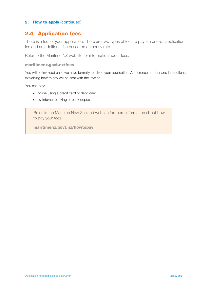#### 2. How to apply (continued)

#### 2.4 Application fees

There is a fee for your application. There are two types of fees to pay – a one-off application fee and an additional fee based on an hourly rate.

Refer to the Maritime NZ website for information about fees.

#### maritimenz.govt.nz/fees

You will be invoiced once we have formally received your application. A reference number and instructions explaining how to pay will be sent with the invoice.

You can pay:

- online using a credit card or debit card
- by internet banking or bank deposit.

Refer to the Maritime New Zealand website for more information about how to pay your fees.

maritimenz.govt.nz/howtopay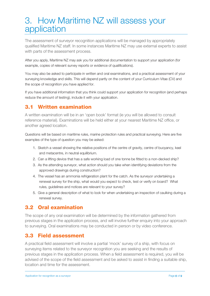### 3. How Maritime NZ will assess your application

The assessment of surveyor recognition applications will be managed by appropriately qualified Maritime NZ staff. In some instances Maritime NZ may use external experts to assist with parts of the assessment process.

After you apply, Maritime NZ may ask you for additional documentation to support your application (for example, copies of relevant survey reports or evidence of qualifications).

You may also be asked to participate in written and oral examinations, and a practical assessment of your surveying knowledge and skills. This will depend partly on the content of your Curriculum Vitae (CV) and the scope of recognition you have applied for.

If you have additional information that you think could support your application for recognition (and perhaps reduce the amount of testing), include it with your application.

#### 3.1 Written examination

A written examination will be in an 'open book' format (ie you will be allowed to consult reference material). Examinations will be held either at your nearest Maritime NZ office, or another agreed location.

Questions will be based on maritime rules, marine protection rules and practical surveying. Here are five examples of the type of question you may be asked:

- 1. Sketch a vessel showing the relative positions of the centre of gravity, centre of buoyancy, keel and metacentre, in neutral equilibrium.
- 2. Can a lifting device that has a safe working load of one tonne be fitted to a non-decked ship?
- 3. As the attending surveyor, what action should you take when identifying deviations from the approved drawings during construction?
- 4. The vessel has an ammonia refrigeration plant for the catch. As the surveyor undertaking a renewal survey for the ship, what would you expect to check, test or verify on board? What rules, guidelines and notices are relevant to your survey?
- 5. Give a general description of what to look for when undertaking an inspection of caulking during a renewal survey.

#### 3.2 Oral examination

The scope of any oral examination will be determined by the information gathered from previous stages in the application process, and will involve further enquiry into your approach to surveying. Oral examinations may be conducted in person or by video conference.

#### 3.3 Field assessment

A practical field assessment will involve a partial 'mock' survey of a ship, with focus on surveying items related to the surveyor recognition you are seeking and the results of previous stages in the application process. When a field assessment is required, you will be advised of the scope of the field assessment and be asked to assist in finding a suitable ship, location and time for the assessment.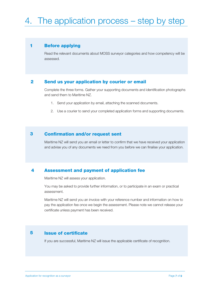# 4. The application process – step by step

#### Before applying 1

Read the relevant documents about MOSS surveyor categories and how competency will be assessed.

#### Send us your application by courier or email 2

Complete the three forms. Gather your supporting documents and identification photographs and send them to Maritime NZ.

- 1. Send your application by email, attaching the scanned documents.
- 2. Use a courier to send your completed application forms and supporting documents.

#### Confirmation and/or request sent 3

Maritime NZ will send you an email or letter to confirm that we have received your application and advise you of any documents we need from you before we can finalise your application.

#### Assessment and payment of application fee 4

Maritime NZ will assess your application.

You may be asked to provide further information, or to participate in an exam or practical assessment.

Maritime NZ will send you an invoice with your reference number and information on how to pay the application fee once we begin the assessment. Please note we cannot release your certificate unless payment has been received.

#### Issue of certificate 5

If you are successful, Maritime NZ will issue the applicable certificate of recognition.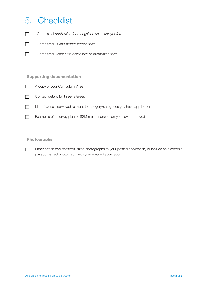## 5. Checklist

- Completed *Application for recognition as a surveyor form*
- Completed *Fit and proper person form*
- Completed *Consent to disclosure of information form*

#### Supporting documentation

- A copy of your Curriculum Vitae
- $\Box$  Contact details for three referees
- List of vessels surveyed relevant to category/categories you have applied for
- Examples of a survey plan or SSM maintenance plan you have approved

#### Photographs

Either attach two passport-sized photographs to your posted application, or include an electronic passport-sized photograph with your emailed application.